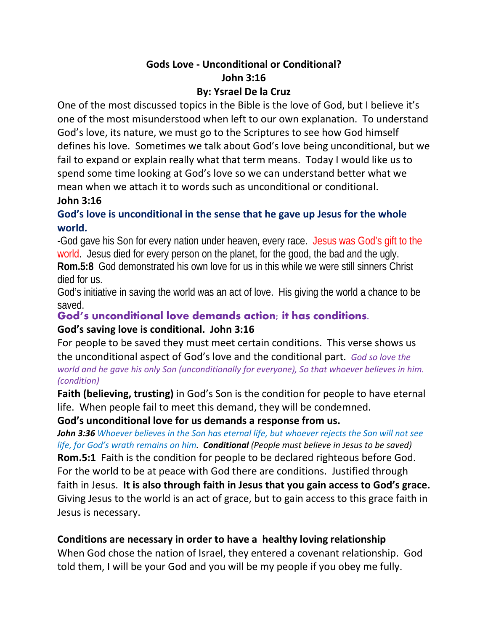#### **Gods Love - Unconditional or Conditional? John 3:16 By: Ysrael De la Cruz**

One of the most discussed topics in the Bible is the love of God, but I believe it's one of the most misunderstood when left to our own explanation. To understand God's love, its nature, we must go to the Scriptures to see how God himself defines his love. Sometimes we talk about God's love being unconditional, but we fail to expand or explain really what that term means. Today I would like us to spend some time looking at God's love so we can understand better what we mean when we attach it to words such as unconditional or conditional.

## **John 3:16**

# **God's love is unconditional in the sense that he gave up Jesus for the whole world.**

-God gave his Son for every nation under heaven, every race. Jesus was God's gift to the world. Jesus died for every person on the planet, for the good, the bad and the ugly. **Rom.5:8** God demonstrated his own love for us in this while we were still sinners Christ died for us.

God's initiative in saving the world was an act of love. His giving the world a chance to be saved. **God's unconditional love demands action; it has conditions.**

## **God's saving love is conditional. John 3:16**

For people to be saved they must meet certain conditions. This verse shows us the unconditional aspect of God's love and the conditional part. *God so love the world and he gave his only Son (unconditionally for everyone), So that whoever believes in him. (condition)*

**Faith (believing, trusting)** in God's Son is the condition for people to have eternal life. When people fail to meet this demand, they will be condemned.

**God's unconditional love for us demands a response from us.**

*John 3:36 Whoever believes in the Son has eternal life, but whoever rejects the Son will not see life, for God's wrath remains on him. Conditional (People must believe in Jesus to be saved)* **Rom.5:1** Faith is the condition for people to be declared righteous before God. For the world to be at peace with God there are conditions. Justified through faith in Jesus. **It is also through faith in Jesus that you gain access to God's grace.** Giving Jesus to the world is an act of grace, but to gain access to this grace faith in Jesus is necessary.

## **Conditions are necessary in order to have a healthy loving relationship**

When God chose the nation of Israel, they entered a covenant relationship. God told them, I will be your God and you will be my people if you obey me fully.